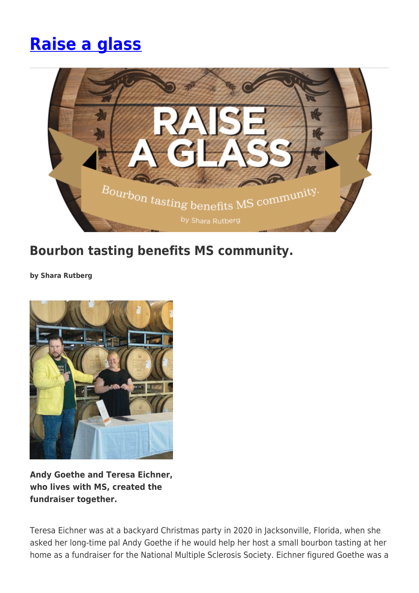# **[Raise a glass](https://momentummagazineonline.com/raise-a-glass/)**



## **Bourbon tasting benefits MS community.**

**by Shara Rutberg**



**Andy Goethe and Teresa Eichner, who lives with MS, created the fundraiser together.**

Teresa Eichner was at a backyard Christmas party in 2020 in Jacksonville, Florida, when she asked her long-time pal Andy Goethe if he would help her host a small bourbon tasting at her home as a fundraiser for the National Multiple Sclerosis Society. Eichner figured Goethe was a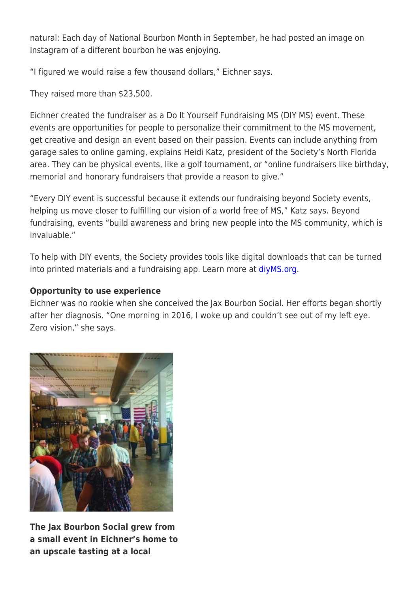natural: Each day of National Bourbon Month in September, he had posted an image on Instagram of a different bourbon he was enjoying.

"I figured we would raise a few thousand dollars," Eichner says.

They raised more than \$23,500.

Eichner created the fundraiser as a Do It Yourself Fundraising MS (DIY MS) event. These events are opportunities for people to personalize their commitment to the MS movement, get creative and design an event based on their passion. Events can include anything from garage sales to online gaming, explains Heidi Katz, president of the Society's North Florida area. They can be physical events, like a golf tournament, or "online fundraisers like birthday, memorial and honorary fundraisers that provide a reason to give."

"Every DIY event is successful because it extends our fundraising beyond Society events, helping us move closer to fulfilling our vision of a world free of MS," Katz says. Beyond fundraising, events "build awareness and bring new people into the MS community, which is invaluable."

To help with DIY events, the Society provides tools like digital downloads that can be turned into printed materials and a fundraising app. Learn more at [diyMS.org.](https://mssociety.donordrive.com/index.cfm?fuseaction=cms.page&id=1612)

### **Opportunity to use experience**

Eichner was no rookie when she conceived the Jax Bourbon Social. Her efforts began shortly after her diagnosis. "One morning in 2016, I woke up and couldn't see out of my left eye. Zero vision," she says.



**The Jax Bourbon Social grew from a small event in Eichner's home to an upscale tasting at a local**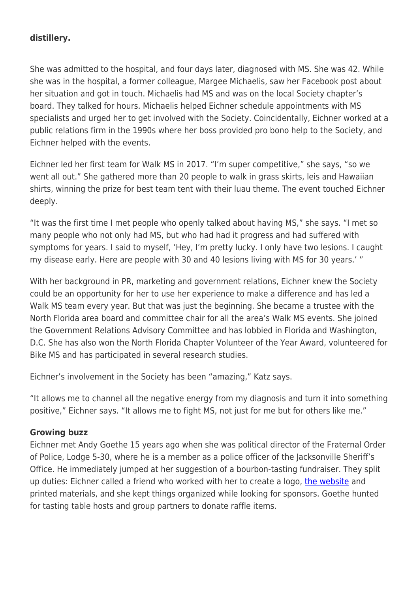#### **distillery.**

She was admitted to the hospital, and four days later, diagnosed with MS. She was 42. While she was in the hospital, a former colleague, Margee Michaelis, saw her Facebook post about her situation and got in touch. Michaelis had MS and was on the local Society chapter's board. They talked for hours. Michaelis helped Eichner schedule appointments with MS specialists and urged her to get involved with the Society. Coincidentally, Eichner worked at a public relations firm in the 1990s where her boss provided pro bono help to the Society, and Eichner helped with the events.

Eichner led her first team for Walk MS in 2017. "I'm super competitive," she says, "so we went all out." She gathered more than 20 people to walk in grass skirts, leis and Hawaiian shirts, winning the prize for best team tent with their luau theme. The event touched Eichner deeply.

"It was the first time I met people who openly talked about having MS," she says. "I met so many people who not only had MS, but who had had it progress and had suffered with symptoms for years. I said to myself, 'Hey, I'm pretty lucky. I only have two lesions. I caught my disease early. Here are people with 30 and 40 lesions living with MS for 30 years.' "

With her background in PR, marketing and government relations, Eichner knew the Society could be an opportunity for her to use her experience to make a difference and has led a Walk MS team every year. But that was just the beginning. She became a trustee with the North Florida area board and committee chair for all the area's Walk MS events. She joined the Government Relations Advisory Committee and has lobbied in Florida and Washington, D.C. She has also won the North Florida Chapter Volunteer of the Year Award, volunteered for Bike MS and has participated in several research studies.

Eichner's involvement in the Society has been "amazing," Katz says.

"It allows me to channel all the negative energy from my diagnosis and turn it into something positive," Eichner says. "It allows me to fight MS, not just for me but for others like me."

#### **Growing buzz**

Eichner met Andy Goethe 15 years ago when she was political director of the Fraternal Order of Police, Lodge 5-30, where he is a member as a police officer of the Jacksonville Sheriff's Office. He immediately jumped at her suggestion of a bourbon-tasting fundraiser. They split up duties: Eichner called a friend who worked with her to create a logo, [the website](https://www.jaxbourbonsocial.com/) and printed materials, and she kept things organized while looking for sponsors. Goethe hunted for tasting table hosts and group partners to donate raffle items.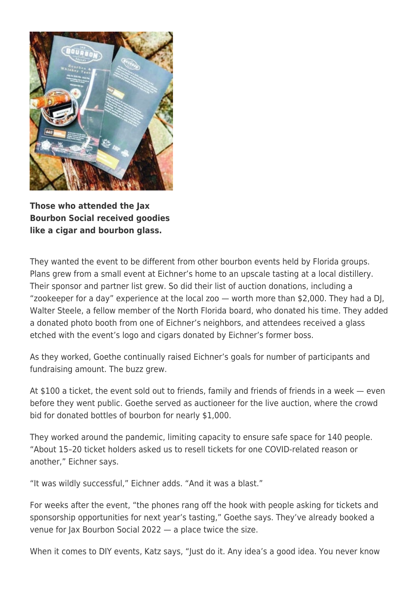

**Those who attended the Jax Bourbon Social received goodies like a cigar and bourbon glass.**

They wanted the event to be different from other bourbon events held by Florida groups. Plans grew from a small event at Eichner's home to an upscale tasting at a local distillery. Their sponsor and partner list grew. So did their list of auction donations, including a "zookeeper for a day" experience at the local zoo — worth more than \$2,000. They had a DJ, Walter Steele, a fellow member of the North Florida board, who donated his time. They added a donated photo booth from one of Eichner's neighbors, and attendees received a glass etched with the event's logo and cigars donated by Eichner's former boss.

As they worked, Goethe continually raised Eichner's goals for number of participants and fundraising amount. The buzz grew.

At \$100 a ticket, the event sold out to friends, family and friends of friends in a week — even before they went public. Goethe served as auctioneer for the live auction, where the crowd bid for donated bottles of bourbon for nearly \$1,000.

They worked around the pandemic, limiting capacity to ensure safe space for 140 people. "About 15–20 ticket holders asked us to resell tickets for one COVID-related reason or another," Eichner says.

"It was wildly successful," Eichner adds. "And it was a blast."

For weeks after the event, "the phones rang off the hook with people asking for tickets and sponsorship opportunities for next year's tasting," Goethe says. They've already booked a venue for Jax Bourbon Social 2022 — a place twice the size.

When it comes to DIY events, Katz says, "Just do it. Any idea's a good idea. You never know